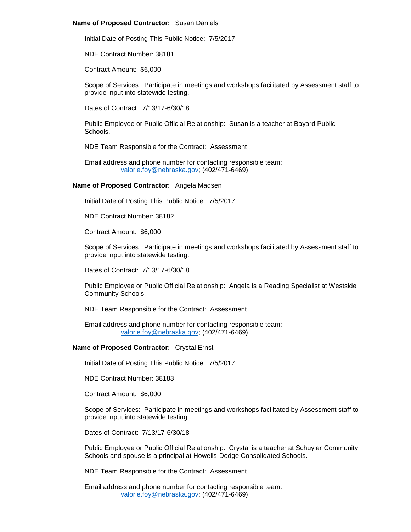## **Name of Proposed Contractor:** Susan Daniels

Initial Date of Posting This Public Notice: 7/5/2017

NDE Contract Number: 38181

Contract Amount: \$6,000

Scope of Services: Participate in meetings and workshops facilitated by Assessment staff to provide input into statewide testing.

Dates of Contract: 7/13/17-6/30/18

Public Employee or Public Official Relationship: Susan is a teacher at Bayard Public Schools.

NDE Team Responsible for the Contract: Assessment

Email address and phone number for contacting responsible team: [valorie.foy@nebraska.gov;](mailto:valorie.foy@nebraska.gov) (402/471-6469)

## **Name of Proposed Contractor:** Angela Madsen

Initial Date of Posting This Public Notice: 7/5/2017

NDE Contract Number: 38182

Contract Amount: \$6,000

Scope of Services: Participate in meetings and workshops facilitated by Assessment staff to provide input into statewide testing.

Dates of Contract: 7/13/17-6/30/18

Public Employee or Public Official Relationship: Angela is a Reading Specialist at Westside Community Schools.

NDE Team Responsible for the Contract: Assessment

Email address and phone number for contacting responsible team: [valorie.foy@nebraska.gov;](mailto:valorie.foy@nebraska.gov) (402/471-6469)

## **Name of Proposed Contractor:** Crystal Ernst

Initial Date of Posting This Public Notice: 7/5/2017

NDE Contract Number: 38183

Contract Amount: \$6,000

Scope of Services: Participate in meetings and workshops facilitated by Assessment staff to provide input into statewide testing.

Dates of Contract: 7/13/17-6/30/18

Public Employee or Public Official Relationship: Crystal is a teacher at Schuyler Community Schools and spouse is a principal at Howells-Dodge Consolidated Schools.

NDE Team Responsible for the Contract: Assessment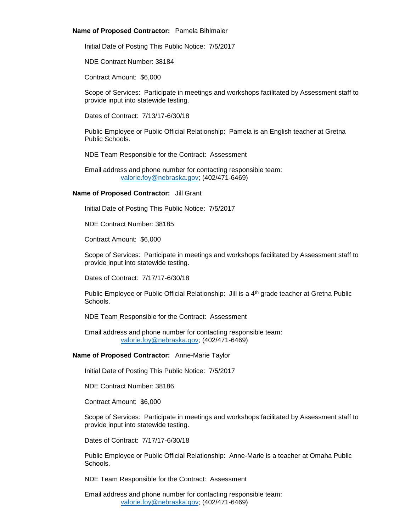## **Name of Proposed Contractor:** Pamela Bihlmaier

Initial Date of Posting This Public Notice: 7/5/2017

NDE Contract Number: 38184

Contract Amount: \$6,000

Scope of Services: Participate in meetings and workshops facilitated by Assessment staff to provide input into statewide testing.

Dates of Contract: 7/13/17-6/30/18

Public Employee or Public Official Relationship: Pamela is an English teacher at Gretna Public Schools.

NDE Team Responsible for the Contract: Assessment

Email address and phone number for contacting responsible team: [valorie.foy@nebraska.gov;](mailto:valorie.foy@nebraska.gov) (402/471-6469)

# **Name of Proposed Contractor:** Jill Grant

Initial Date of Posting This Public Notice: 7/5/2017

NDE Contract Number: 38185

Contract Amount: \$6,000

Scope of Services: Participate in meetings and workshops facilitated by Assessment staff to provide input into statewide testing.

Dates of Contract: 7/17/17-6/30/18

Public Employee or Public Official Relationship: Jill is a 4<sup>th</sup> grade teacher at Gretna Public Schools.

NDE Team Responsible for the Contract: Assessment

Email address and phone number for contacting responsible team: [valorie.foy@nebraska.gov;](mailto:valorie.foy@nebraska.gov) (402/471-6469)

## **Name of Proposed Contractor:** Anne-Marie Taylor

Initial Date of Posting This Public Notice: 7/5/2017

NDE Contract Number: 38186

Contract Amount: \$6,000

Scope of Services: Participate in meetings and workshops facilitated by Assessment staff to provide input into statewide testing.

Dates of Contract: 7/17/17-6/30/18

Public Employee or Public Official Relationship: Anne-Marie is a teacher at Omaha Public Schools.

NDE Team Responsible for the Contract: Assessment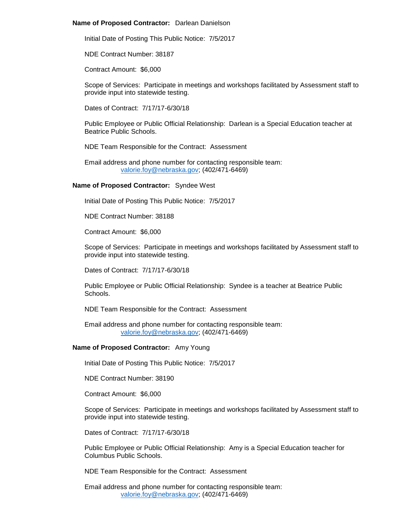#### **Name of Proposed Contractor:** Darlean Danielson

Initial Date of Posting This Public Notice: 7/5/2017

NDE Contract Number: 38187

Contract Amount: \$6,000

Scope of Services: Participate in meetings and workshops facilitated by Assessment staff to provide input into statewide testing.

Dates of Contract: 7/17/17-6/30/18

Public Employee or Public Official Relationship: Darlean is a Special Education teacher at Beatrice Public Schools.

NDE Team Responsible for the Contract: Assessment

Email address and phone number for contacting responsible team: [valorie.foy@nebraska.gov;](mailto:valorie.foy@nebraska.gov) (402/471-6469)

#### **Name of Proposed Contractor:** Syndee West

Initial Date of Posting This Public Notice: 7/5/2017

NDE Contract Number: 38188

Contract Amount: \$6,000

Scope of Services: Participate in meetings and workshops facilitated by Assessment staff to provide input into statewide testing.

Dates of Contract: 7/17/17-6/30/18

Public Employee or Public Official Relationship: Syndee is a teacher at Beatrice Public **Schools** 

NDE Team Responsible for the Contract: Assessment

Email address and phone number for contacting responsible team: [valorie.foy@nebraska.gov;](mailto:valorie.foy@nebraska.gov) (402/471-6469)

## **Name of Proposed Contractor:** Amy Young

Initial Date of Posting This Public Notice: 7/5/2017

NDE Contract Number: 38190

Contract Amount: \$6,000

Scope of Services: Participate in meetings and workshops facilitated by Assessment staff to provide input into statewide testing.

Dates of Contract: 7/17/17-6/30/18

Public Employee or Public Official Relationship: Amy is a Special Education teacher for Columbus Public Schools.

NDE Team Responsible for the Contract: Assessment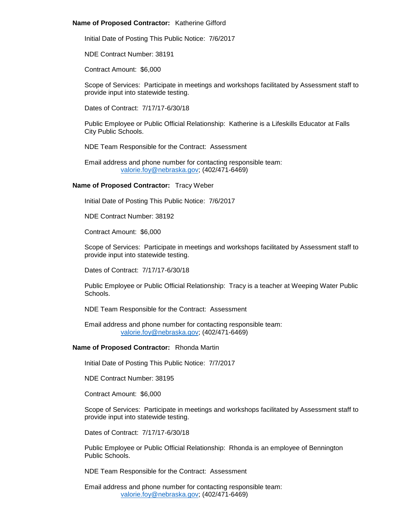## **Name of Proposed Contractor:** Katherine Gifford

Initial Date of Posting This Public Notice: 7/6/2017

NDE Contract Number: 38191

Contract Amount: \$6,000

Scope of Services: Participate in meetings and workshops facilitated by Assessment staff to provide input into statewide testing.

Dates of Contract: 7/17/17-6/30/18

Public Employee or Public Official Relationship: Katherine is a Lifeskills Educator at Falls City Public Schools.

NDE Team Responsible for the Contract: Assessment

Email address and phone number for contacting responsible team: [valorie.foy@nebraska.gov;](mailto:valorie.foy@nebraska.gov) (402/471-6469)

## **Name of Proposed Contractor:** Tracy Weber

Initial Date of Posting This Public Notice: 7/6/2017

NDE Contract Number: 38192

Contract Amount: \$6,000

Scope of Services: Participate in meetings and workshops facilitated by Assessment staff to provide input into statewide testing.

Dates of Contract: 7/17/17-6/30/18

Public Employee or Public Official Relationship: Tracy is a teacher at Weeping Water Public **Schools** 

NDE Team Responsible for the Contract: Assessment

Email address and phone number for contacting responsible team: [valorie.foy@nebraska.gov;](mailto:valorie.foy@nebraska.gov) (402/471-6469)

### **Name of Proposed Contractor:** Rhonda Martin

Initial Date of Posting This Public Notice: 7/7/2017

NDE Contract Number: 38195

Contract Amount: \$6,000

Scope of Services: Participate in meetings and workshops facilitated by Assessment staff to provide input into statewide testing.

Dates of Contract: 7/17/17-6/30/18

Public Employee or Public Official Relationship: Rhonda is an employee of Bennington Public Schools.

NDE Team Responsible for the Contract: Assessment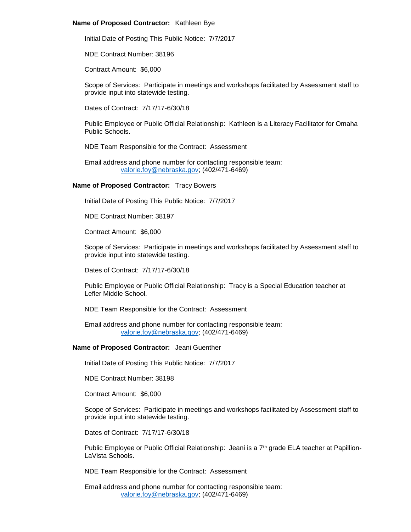## **Name of Proposed Contractor:** Kathleen Bye

Initial Date of Posting This Public Notice: 7/7/2017

NDE Contract Number: 38196

Contract Amount: \$6,000

Scope of Services: Participate in meetings and workshops facilitated by Assessment staff to provide input into statewide testing.

Dates of Contract: 7/17/17-6/30/18

Public Employee or Public Official Relationship: Kathleen is a Literacy Facilitator for Omaha Public Schools.

NDE Team Responsible for the Contract: Assessment

Email address and phone number for contacting responsible team: [valorie.foy@nebraska.gov;](mailto:valorie.foy@nebraska.gov) (402/471-6469)

## **Name of Proposed Contractor:** Tracy Bowers

Initial Date of Posting This Public Notice: 7/7/2017

NDE Contract Number: 38197

Contract Amount: \$6,000

Scope of Services: Participate in meetings and workshops facilitated by Assessment staff to provide input into statewide testing.

Dates of Contract: 7/17/17-6/30/18

Public Employee or Public Official Relationship: Tracy is a Special Education teacher at Lefler Middle School.

NDE Team Responsible for the Contract: Assessment

Email address and phone number for contacting responsible team: [valorie.foy@nebraska.gov;](mailto:valorie.foy@nebraska.gov) (402/471-6469)

## **Name of Proposed Contractor:** Jeani Guenther

Initial Date of Posting This Public Notice: 7/7/2017

NDE Contract Number: 38198

Contract Amount: \$6,000

Scope of Services: Participate in meetings and workshops facilitated by Assessment staff to provide input into statewide testing.

Dates of Contract: 7/17/17-6/30/18

Public Employee or Public Official Relationship: Jeani is a  $7<sup>th</sup>$  grade ELA teacher at Papillion-LaVista Schools.

NDE Team Responsible for the Contract: Assessment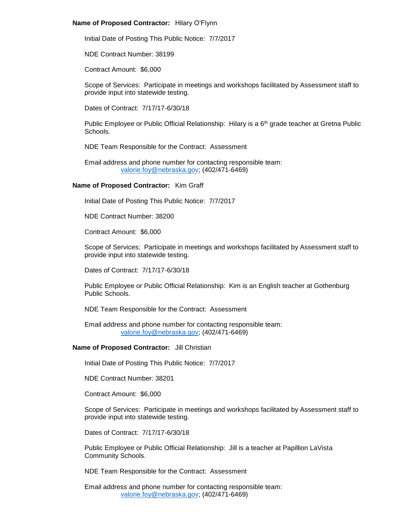## **Name of Proposed Contractor:** Hilary O'Flynn

Initial Date of Posting This Public Notice: 7/7/2017

NDE Contract Number: 38199

Contract Amount: \$6,000

Scope of Services: Participate in meetings and workshops facilitated by Assessment staff to provide input into statewide testing.

Dates of Contract: 7/17/17-6/30/18

Public Employee or Public Official Relationship: Hilary is a  $6<sup>th</sup>$  grade teacher at Gretna Public Schools.

NDE Team Responsible for the Contract: Assessment

Email address and phone number for contacting responsible team: [valorie.foy@nebraska.gov;](mailto:valorie.foy@nebraska.gov) (402/471-6469)

## **Name of Proposed Contractor:** Kim Graff

Initial Date of Posting This Public Notice: 7/7/2017

NDE Contract Number: 38200

Contract Amount: \$6,000

Scope of Services: Participate in meetings and workshops facilitated by Assessment staff to provide input into statewide testing.

Dates of Contract: 7/17/17-6/30/18

Public Employee or Public Official Relationship: Kim is an English teacher at Gothenburg Public Schools.

NDE Team Responsible for the Contract: Assessment

Email address and phone number for contacting responsible team: [valorie.foy@nebraska.gov;](mailto:valorie.foy@nebraska.gov) (402/471-6469)

## **Name of Proposed Contractor:** Jill Christian

Initial Date of Posting This Public Notice: 7/7/2017

NDE Contract Number: 38201

Contract Amount: \$6,000

Scope of Services: Participate in meetings and workshops facilitated by Assessment staff to provide input into statewide testing.

Dates of Contract: 7/17/17-6/30/18

Public Employee or Public Official Relationship: Jill is a teacher at Papillion LaVista Community Schools.

NDE Team Responsible for the Contract: Assessment